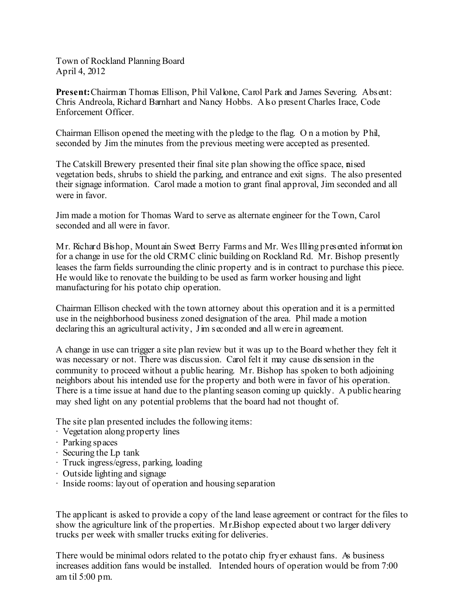Town of Rockland Planning Board April 4, 2012

**Present:**Chairman Thomas Ellison, Phil Vallone, Carol Park and James Severing. Absent: Chris Andreola, Richard Barnhart and Nancy Hobbs. Also present Charles Irace, Code Enforcement Officer.

Chairman Ellison opened the meeting with the pledge to the flag. O n a motion by Phil, seconded by Jim the minutes from the previous meeting were accepted as presented.

The Catskill Brewery presented their final site plan showing the office space, neised vegetation beds, shrubs to shield the parking, and entrance and exit signs. The also presented their signage information. Carol made a motion to grant final approval, Jim seconded and all were in favor.

Jim made a motion for Thomas Ward to serve as alternate engineer for the Town, Carol seconded and all were in favor.

Mr. Richard Bishop, Mount ain Sweet Berry Farms and Mr. WesIlling presented information for a change in use for the old CRMC clinic building on Rockland Rd. Mr. Bishop presently leases the farm fields surrounding the clinic property and is in contract to purchase this piece. He would like to renovate the building to be used as farm worker housing and light manufacturing for his potato chip operation.

Chairman Ellison checked with the town attorney about this operation and it is a permitted use in the neighborhood business zoned designation of the area. Phil made a motion declaring this an agricultural activity. Jim seconded and all were in agreement.

A change in use can trigger a site plan review but it was up to the Board whether they felt it was necessary or not. There was discussion. Carol felt it may cause dissension in the community to proceed without a public hearing. Mr. Bishop has spoken to both adjoining neighbors about his intended use for the property and both were in favor of his operation. There is a time issue at hand due to the planting season coming up quickly. A public hearing may shed light on any potential problems that the board had not thought of.

The site plan presented includes the following items:

- · Vegetation along property lines
- · Parking spaces
- · Securing the Lp tank
- · Truck ingress/egress, parking, loading
- · Outside lighting and signage
- · Inside rooms: layout of operation and housing separation

The applicant is asked to provide a copy of the land lease agreement or contract for the files to show the agriculture link of the properties. Mr.Bishop expected about two larger delivery trucks per week with smaller trucks exiting for deliveries.

There would be minimal odors related to the potato chip fryer exhaust fans. As business increases addition fans would be installed. Intended hours of operation would be from 7:00 am til 5:00 pm.